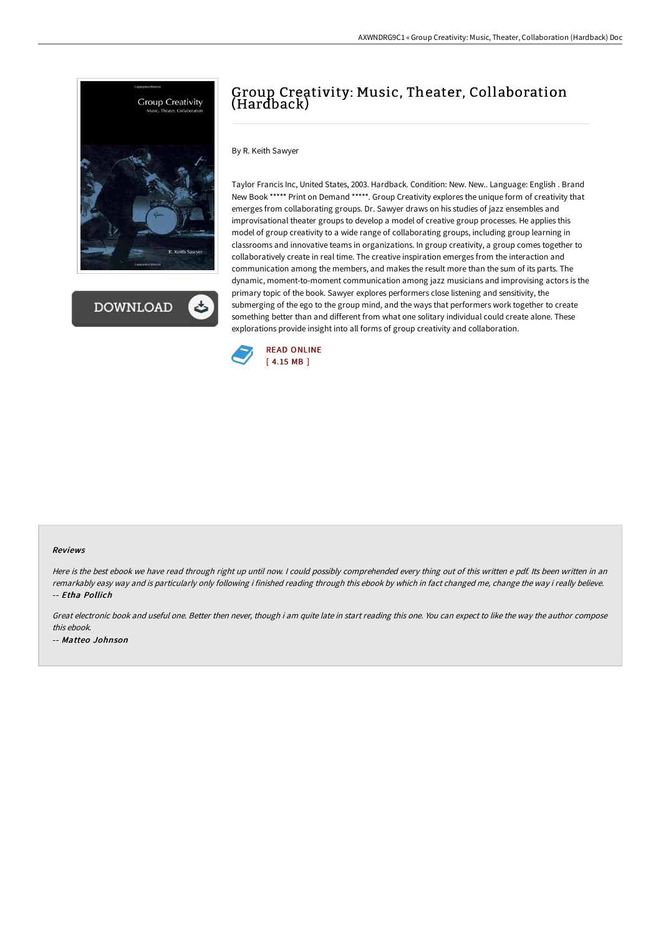

**DOWNLOAD** 

## Group Creativity: Music, Theater, Collaboration (Hardback)

By R. Keith Sawyer

Taylor Francis Inc, United States, 2003. Hardback. Condition: New. New.. Language: English . Brand New Book \*\*\*\*\* Print on Demand \*\*\*\*\*. Group Creativity explores the unique form of creativity that emerges from collaborating groups. Dr. Sawyer draws on his studies of jazz ensembles and improvisational theater groups to develop a model of creative group processes. He applies this model of group creativity to a wide range of collaborating groups, including group learning in classrooms and innovative teams in organizations. In group creativity, a group comes together to collaboratively create in real time. The creative inspiration emerges from the interaction and communication among the members, and makes the result more than the sum of its parts. The dynamic, moment-to-moment communication among jazz musicians and improvising actors is the primary topic of the book. Sawyer explores performers close listening and sensitivity, the submerging of the ego to the group mind, and the ways that performers work together to create something better than and different from what one solitary individual could create alone. These explorations provide insight into all forms of group creativity and collaboration.



## Reviews

Here is the best ebook we have read through right up until now. I could possibly comprehended every thing out of this written e pdf. Its been written in an remarkably easy way and is particularly only following i finished reading through this ebook by which in fact changed me, change the way i really believe. -- Etha Pollich

Great electronic book and useful one. Better then never, though i am quite late in start reading this one. You can expect to like the way the author compose this ebook. -- Matteo Johnson